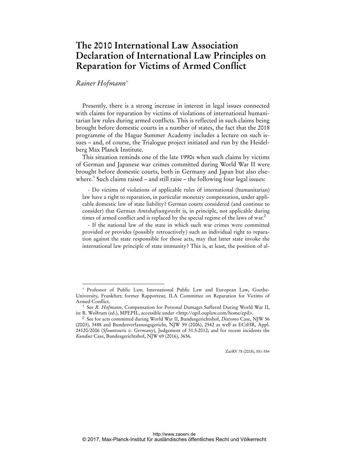## **The 2010 International Law Association Declaration of International Law Principles on Reparation for Victims of Armed Conflict**

## *Rainer Hofmann*\*

 $\overline{a}$ 

Presently, there is a strong increase in interest in legal issues connected with claims for reparation by victims of violations of international humanitarian law rules during armed conflicts. This is reflected in such claims being brought before domestic courts in a number of states, the fact that the 2018 programme of the Hague Summer Academy includes a lecture on such issues – and, of course, the Trialogue project initiated and run by the Heidelberg Max Planck Institute.

This situation reminds one of the late 1990s when such claims by victims of German and Japanese war crimes committed during World War II were brought before domestic courts, both in Germany and Japan but also elsewhere.<sup>1</sup> Such claims raised – and still raise – the following four legal issues:

- Do victims of violations of applicable rules of international (humanitarian) law have a right to reparation, in particular monetary compensation, under applicable domestic law of state liability? German courts considered (and continue to consider) that German *Amtshaftungsrecht* is, in principle, not applicable during times of armed conflict and is replaced by the special regime of the laws of war.<sup>2</sup>

- If the national law of the state in which such war crimes were committed provided or provides (possibly retroactively) such an individual right to reparation against the state responsible for those acts, may that latter state invoke the international law principle of state immunity? This is, at least, the position of al-

ZaöRV 78 (2018), 551-554

<sup>\*</sup> Professor of Public Law, International Public Law and European Law, Goethe-University, Frankfurt; former Rapporteur, ILA Committee on Reparation for Victims of Armed Conflict.

<sup>1</sup> See *R. Hofmann*, Compensation for Personal Damages Suffered During World War II, in: R. Wolfrum (ed.), MPEPIL, accessible under <http://opil.ouplaw.com/home/epil>.

<sup>2</sup> See for acts committed during World War II, Bundesgerichtshof, *Distomo* Case, NJW 56 (2003), 3488 and Bundesverfassungsgericht, NJW 59 (2006), 2542 as well as ECtHR, Appl. 24120/2006 (*Sfountouris v. Germany*), Judgement of 31.5.2012; and for recent incidents the *Kunduz* Case, Bundesgerichtshof, NJW 69 (2016), 3656.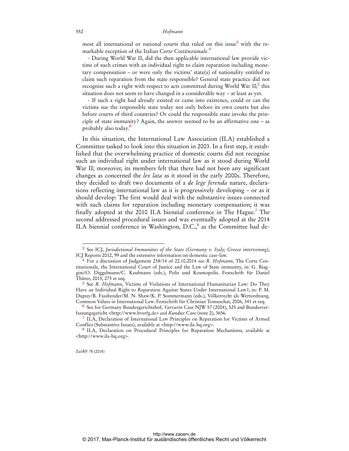## 552 *Hofmann*

most all international or national courts that ruled on this issue<sup>3</sup> with the remarkable exception of the Italian *Corte Costituzionale*. 4

- During World War II, did the then applicable international law provide victims of such crimes with an individual right to claim reparation including monetary compensation – or were only the victims' state(s) of nationality entitled to claim such reparation from the state responsible? General state practice did not recognise such a right with respect to acts committed during World War  $\mathrm{II} ;^5$  this situation does not seem to have changed in a considerable way – at least as yet.

- If such a right had already existed or came into existence, could or can the victims sue the responsible state today not only before its own courts but also before courts of third countries? Or could the responsible state invoke the principle of state immunity? Again, the answer seemed to be an affirmative one – as probably also today.<sup>6</sup>

In this situation, the International Law Association (ILA) established a Committee tasked to look into this situation in 2003. In a first step, it established that the overwhelming practice of domestic courts did not recognise such an individual right under international law as it stood during World War II; moreover, its members felt that there had not been any significant changes as concerned the *lex lata* as it stood in the early 2000s. Therefore, they decided to draft two documents of a *de lege ferenda* nature, declarations reflecting international law as it is progressively developing – or as it should develop: The first would deal with the substantive issues connected with such claims for reparation including monetary compensation; it was finally adopted at the 2010 ILA biennial conference in The Hague.<sup>7</sup> The second addressed procedural issues and was eventually adopted at the 2014 ILA biennial conference in Washington, D.C.,<sup>8</sup> as the Committee had de-

 $\overline{a}$ 

<sup>3</sup> See ICJ, *Jurisdictional Immunities of the State* (*Germany v. Italy; Greece intervening*), ICJ Reports 2012, 99 and the extensive information on domestic case-law.

<sup>4</sup> For a discussion of Judgement 238/14 of 22.10.2014 see *R. Hofmann*, The Corte Costituzionale, the International Court of Justice and the Law of State immunity, in: G. Biaggini/O. Diggelmann/C. Kaufmann (eds.), Polis und Kosmopolis. Festschrift für Daniel Thürer, 2015, 273 et seq.

<sup>5</sup> See *R. Hofmann*, Victims of Violations of International Humanitarian Law: Do They Have an Individual Right to Reparation Against States Under International Law?, in: P. M. Dupuy/B. Fassbender/M. N. Shaw/K. P. Sommermann (eds.), Völkerrecht als Wertordnung. Common Values in International Law. Festschrift für Christian Tomuschat, 2006, 341 et seq.

<sup>6</sup> See for Germany Bundesgerichtshof, *Varvarin* Case NJW 57 (2004), 525 and Bundesverfassungsgericht <http://www.bverfg.de> and *Kunduz* Case (note 2), 3656.

<sup>7</sup> ILA, Declaration of International Law Principles on Reparation for Victims of Armed Conflict (Substantive Issues), available at <http://www.ila-hq.org>.

<sup>8</sup> ILA, Declaration on Procedural Principles for Reparation Mechanisms, available at <http://www.ila-hq.org>.

ZaöRV 78 (2018)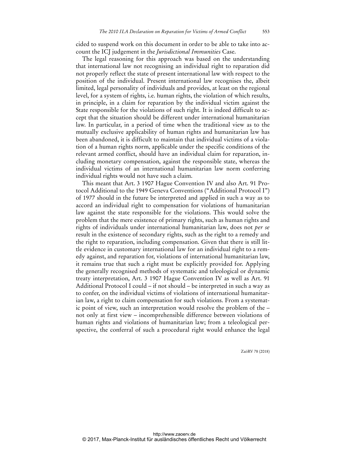cided to suspend work on this document in order to be able to take into account the ICJ judgement in the *Jurisdictional Immunities* Case.

The legal reasoning for this approach was based on the understanding that international law not recognising an individual right to reparation did not properly reflect the state of present international law with respect to the position of the individual. Present international law recognises the, albeit limited, legal personality of individuals and provides, at least on the regional level, for a system of rights, i.e. human rights, the violation of which results, in principle, in a claim for reparation by the individual victim against the State responsible for the violations of such right. It is indeed difficult to accept that the situation should be different under international humanitarian law. In particular, in a period of time when the traditional view as to the mutually exclusive applicability of human rights and humanitarian law has been abandoned, it is difficult to maintain that individual victims of a violation of a human rights norm, applicable under the specific conditions of the relevant armed conflict, should have an individual claim for reparation, including monetary compensation, against the responsible state, whereas the individual victims of an international humanitarian law norm conferring individual rights would not have such a claim.

This meant that Art. 3 1907 Hague Convention IV and also Art. 91 Protocol Additional to the 1949 Geneva Conventions ("Additional Protocol I") of 1977 should in the future be interpreted and applied in such a way as to accord an individual right to compensation for violations of humanitarian law against the state responsible for the violations. This would solve the problem that the mere existence of primary rights, such as human rights and rights of individuals under international humanitarian law, does not *per se* result in the existence of secondary rights, such as the right to a remedy and the right to reparation, including compensation. Given that there is still little evidence in customary international law for an individual right to a remedy against, and reparation for, violations of international humanitarian law, it remains true that such a right must be explicitly provided for. Applying the generally recognised methods of systematic and teleological or dynamic treaty interpretation, Art. 3 1907 Hague Convention IV as well as Art. 91 Additional Protocol I could – if not should – be interpreted in such a way as to confer, on the individual victims of violations of international humanitarian law, a right to claim compensation for such violations. From a systematic point of view, such an interpretation would resolve the problem of the – not only at first view – incomprehensible difference between violations of human rights and violations of humanitarian law; from a teleological perspective, the conferral of such a procedural right would enhance the legal

ZaöRV 78 (2018)